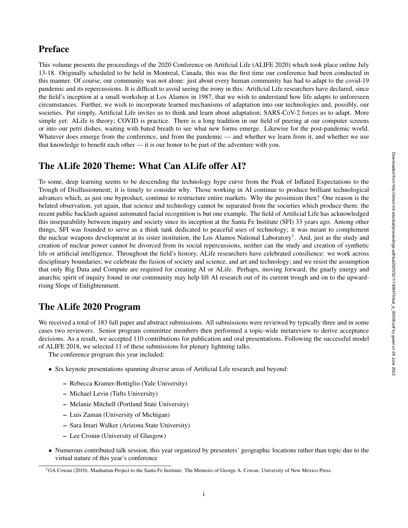# Preface

This volume presents the proceedings of the 2020 Conference on Artificial Life (ALIFE 2020) which took place online July 13-18. Originally scheduled to be held in Montreal, Canada, this was the first time our conference had been conducted in this manner. Of course, our community was not alone: just about every human community has had to adapt to the covid-19 pandemic and its repercussions. It is difficult to avoid seeing the irony in this: Artificial Life researchers have declared, since the field's inception at a small workshop at Los Alamos in 1987, that we wish to understand how life adapts to unforeseen circumstances. Further, we wish to incorporate learned mechanisms of adaptation into our technologies and, possibly, our societies. Put simply, Artificial Life invites us to think and learn about adaptation; SARS-CoV-2 forces us to adapt. More simple yet: ALife is theory; COVID is practice. There is a long tradition in our field of peering at our computer screens or into our petri dishes, waiting with bated breath to see what new forms emerge. Likewise for the post-pandemic world. Whatever does emerge from the conference, and from the pandemic — and whether we learn from it, and whether we use that knowledge to benefit each other — it is our honor to be part of the adventure with you.

# The ALife 2020 Theme: What Can ALife offer AI?

To some, deep learning seems to be descending the technology hype curve from the Peak of Inflated Expectations to the Trough of Disillusionment; it is timely to consider why. Those working in AI continue to produce brilliant technological advances which, as just one byproduct, continue to restructure entire markets. Why the pessimism then? One reason is the belated observation, yet again, that science and technology cannot be separated from the societies which produce them: the recent public backlash against automated facial recognition is but one example. The field of Artificial Life has acknowledged this inseparability between inquiry and society since its inception at the Santa Fe Institute (SFI) 33 years ago. Among other things, SFI was founded to serve as a think tank dedicated to peaceful uses of technology; it was meant to complement the nuclear weapons development at its sister institution, the Los Alamos National Laboratory<sup>1</sup>. And, just as the study and creation of nuclear power cannot be divorced from its social repercussions, neither can the study and creation of synthetic life or artificial intelligence. Throughout the field's history, ALife researchers have celebrated consilience: we work across disciplinary boundaries; we celebrate the fusion of society and science, and art and technology; and we resist the assumption that only Big Data and Compute are required for creating AI or ALife. Perhaps, moving forward, the gnarly energy and anarchic spirit of inquiry found in our community may help lift AI research out of its current trough and on to the upwardrising Slope of Enlightenment.

# The ALife 2020 Program

We received a total of 183 full paper and abstract submissions. All submissions were reviewed by typically three and in some cases two reviewers. Senior program committee members then performed a topic-wide metareview to derive acceptance decisions. As a result, we accepted 110 contributions for publication and oral presentations. Following the successful model of ALIFE 2018, we selected 11 of these submissions for plenary lightning talks.

The conference program this year included:

- Six keynote presentations spanning diverse areas of Artificial Life research and beyond:
	- Rebecca Kramer-Bottiglio (Yale University)
	- Michael Levin (Tufts University)
	- Melanie Mitchell (Portland State University)
	- Luis Zaman (University of Michigan)
	- Sara Imari Walker (Arizona State University)
	- Lee Cronin (University of Glasgow)
- Numerous contributed talk session, this year organized by presenters' geographic locations rather than topic due to the virtual nature of this year's conference

<sup>&</sup>lt;sup>1</sup>GA Cowan (2010). Manhattan Project to the Santa Fe Institute: The Memoirs of George A. Cowan. University of New Mexico Press.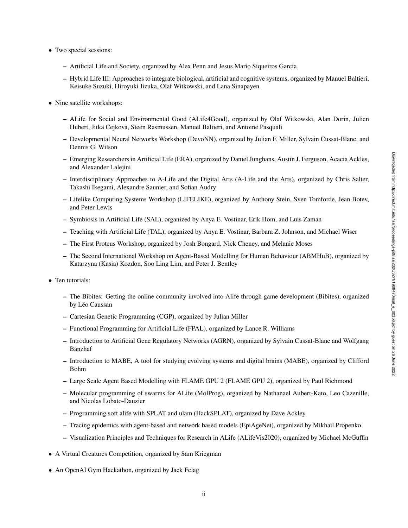- Two special sessions:
	- Artificial Life and Society, organized by Alex Penn and Jesus Mario Siqueiros Garcia
	- Hybrid Life III: Approaches to integrate biological, artificial and cognitive systems, organized by Manuel Baltieri, Keisuke Suzuki, Hiroyuki Iizuka, Olaf Witkowski, and Lana Sinapayen
- Nine satellite workshops:
	- ALife for Social and Environmental Good (ALife4Good), organized by Olaf Witkowski, Alan Dorin, Julien Hubert, Jitka Cejkova, Steen Rasmussen, Manuel Baltieri, and Antoine Pasquali
	- Developmental Neural Networks Workshop (DevoNN), organized by Julian F. Miller, Sylvain Cussat-Blanc, and Dennis G. Wilson
	- Emerging Researchers in Artificial Life (ERA), organized by Daniel Junghans, Austin J. Ferguson, Acacia Ackles, and Alexander Lalejini
	- Interdisciplinary Approaches to A-Life and the Digital Arts (A-Life and the Arts), organized by Chris Salter, Takashi Ikegami, Alexandre Saunier, and Sofian Audry
	- Lifelike Computing Systems Workshop (LIFELIKE), organized by Anthony Stein, Sven Tomforde, Jean Botev, and Peter Lewis
	- Symbiosis in Artificial Life (SAL), organized by Anya E. Vostinar, Erik Hom, and Luis Zaman
	- Teaching with Artificial Life (TAL), organized by Anya E. Vostinar, Barbara Z. Johnson, and Michael Wiser
	- The First Proteus Workshop, organized by Josh Bongard, Nick Cheney, and Melanie Moses
	- The Second International Workshop on Agent-Based Modelling for Human Behaviour (ABMHuB), organized by Katarzyna (Kasia) Kozdon, Soo Ling Lim, and Peter J. Bentley
- Ten tutorials:
	- The Bibites: Getting the online community involved into Alife through game development (Bibites), organized by Léo Caussan
	- Cartesian Genetic Programming (CGP), organized by Julian Miller
	- Functional Programming for Artificial Life (FPAL), organized by Lance R. Williams
	- Introduction to Artificial Gene Regulatory Networks (AGRN), organized by Sylvain Cussat-Blanc and Wolfgang Banzhaf
	- Introduction to MABE, A tool for studying evolving systems and digital brains (MABE), organized by Clifford Bohm
	- Large Scale Agent Based Modelling with FLAME GPU 2 (FLAME GPU 2), organized by Paul Richmond
	- Molecular programming of swarms for ALife (MolProg), organized by Nathanael Aubert-Kato, Leo Cazenille, and Nicolas Lobato-Dauzier
	- Programming soft alife with SPLAT and ulam (HackSPLAT), organized by Dave Ackley
	- Tracing epidemics with agent-based and network based models (EpiAgeNet), organized by Mikhail Propenko
	- Visualization Principles and Techniques for Research in ALife (ALifeVis2020), organized by Michael McGuffin
- A Virtual Creatures Competition, organized by Sam Kriegman
- An OpenAI Gym Hackathon, organized by Jack Felag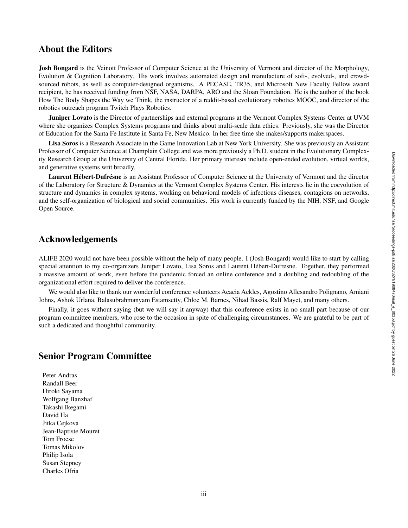### About the Editors

Josh Bongard is the Veinott Professor of Computer Science at the University of Vermont and director of the Morphology, Evolution & Cognition Laboratory. His work involves automated design and manufacture of soft-, evolved-, and crowdsourced robots, as well as computer-designed organisms. A PECASE, TR35, and Microsoft New Faculty Fellow award recipient, he has received funding from NSF, NASA, DARPA, ARO and the Sloan Foundation. He is the author of the book How The Body Shapes the Way we Think, the instructor of a reddit-based evolutionary robotics MOOC, and director of the robotics outreach program Twitch Plays Robotics.

Juniper Lovato is the Director of partnerships and external programs at the Vermont Complex Systems Center at UVM where she organizes Complex Systems programs and thinks about multi-scale data ethics. Previously, she was the Director of Education for the Santa Fe Institute in Santa Fe, New Mexico. In her free time she makes/supports makerspaces.

Lisa Soros is a Research Associate in the Game Innovation Lab at New York University. She was previously an Assistant Professor of Computer Science at Champlain College and was more previously a Ph.D. student in the Evolutionary Complexity Research Group at the University of Central Florida. Her primary interests include open-ended evolution, virtual worlds, and generative systems writ broadly.

Laurent Hébert-Dufrésne is an Assistant Professor of Computer Science at the University of Vermont and the director of the Laboratory for Structure & Dynamics at the Vermont Complex Systems Center. His interests lie in the coevolution of structure and dynamics in complex systems, working on behavioral models of infectious diseases, contagions on networks, and the self-organization of biological and social communities. His work is currently funded by the NIH, NSF, and Google Open Source.

### Acknowledgements

ALIFE 2020 would not have been possible without the help of many people. I (Josh Bongard) would like to start by calling special attention to my co-organizers Juniper Lovato, Lisa Soros and Laurent Hébert-Dufresne. Together, they performed a massive amount of work, even before the pandemic forced an online conference and a doubling and redoubling of the organizational effort required to deliver the conference.

We would also like to thank our wonderful conference volunteers Acacia Ackles, Agostino Allesandro Polignano, Amiani Johns, Ashok Urlana, Balasubrahmanyam Estamsetty, Chloe M. Barnes, Nihad Bassis, Ralf Mayet, and many others.

Finally, it goes without saying (but we will say it anyway) that this conference exists in no small part because of our program committee members, who rose to the occasion in spite of challenging circumstances. We are grateful to be part of such a dedicated and thoughtful community.

#### Senior Program Committee

Peter Andras Randall Beer Hiroki Sayama Wolfgang Banzhaf Takashi Ikegami David Ha Jitka Cejkova Jean-Baptiste Mouret Tom Froese Tomas Mikolov Philip Isola Susan Stepney Charles Ofria